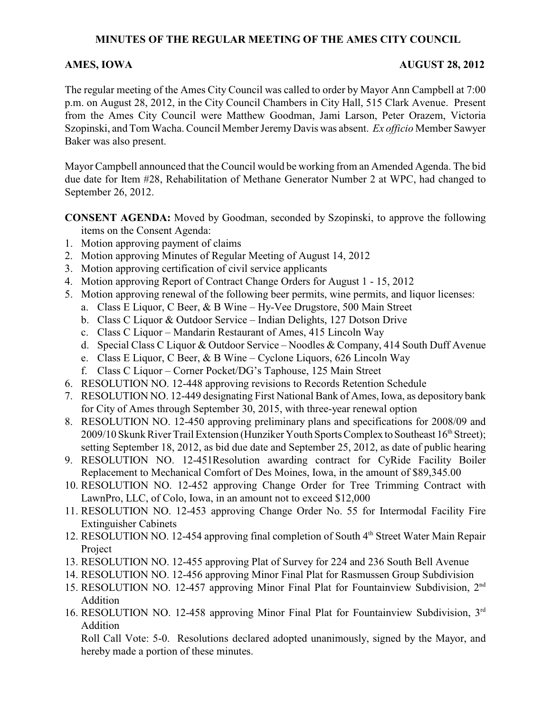# **MINUTES OF THE REGULAR MEETING OF THE AMES CITY COUNCIL**

## **AMES, IOWA AUGUST 28, 2012**

The regular meeting of the Ames City Council was called to order by Mayor Ann Campbell at 7:00 p.m. on August 28, 2012, in the City Council Chambers in City Hall, 515 Clark Avenue. Present from the Ames City Council were Matthew Goodman, Jami Larson, Peter Orazem, Victoria Szopinski, and Tom Wacha. Council Member Jeremy Davis was absent. *Ex officio* Member Sawyer Baker was also present.

Mayor Campbell announced that the Council would be working from an Amended Agenda. The bid due date for Item #28, Rehabilitation of Methane Generator Number 2 at WPC, had changed to September 26, 2012.

**CONSENT AGENDA:** Moved by Goodman, seconded by Szopinski, to approve the following items on the Consent Agenda:

- 1. Motion approving payment of claims
- 2. Motion approving Minutes of Regular Meeting of August 14, 2012
- 3. Motion approving certification of civil service applicants
- 4. Motion approving Report of Contract Change Orders for August 1 15, 2012
- 5. Motion approving renewal of the following beer permits, wine permits, and liquor licenses:
	- a. Class E Liquor, C Beer, & B Wine Hy-Vee Drugstore, 500 Main Street
	- b. Class C Liquor & Outdoor Service Indian Delights, 127 Dotson Drive
	- c. Class C Liquor Mandarin Restaurant of Ames, 415 Lincoln Way
	- d. Special Class C Liquor & Outdoor Service Noodles & Company, 414 South Duff Avenue
	- e. Class E Liquor, C Beer, & B Wine Cyclone Liquors, 626 Lincoln Way
	- f. Class C Liquor Corner Pocket/DG's Taphouse, 125 Main Street
- 6. RESOLUTION NO. 12-448 approving revisions to Records Retention Schedule
- 7. RESOLUTION NO. 12-449 designating First National Bank of Ames, Iowa, as depository bank for City of Ames through September 30, 2015, with three-year renewal option
- 8. RESOLUTION NO. 12-450 approving preliminary plans and specifications for 2008/09 and 2009/10 Skunk River Trail Extension (Hunziker Youth Sports Complex to Southeast  $16<sup>th</sup>$  Street); setting September 18, 2012, as bid due date and September 25, 2012, as date of public hearing
- 9. RESOLUTION NO. 12-451Resolution awarding contract for CyRide Facility Boiler Replacement to Mechanical Comfort of Des Moines, Iowa, in the amount of \$89,345.00
- 10. RESOLUTION NO. 12-452 approving Change Order for Tree Trimming Contract with LawnPro, LLC, of Colo, Iowa, in an amount not to exceed \$12,000
- 11. RESOLUTION NO. 12-453 approving Change Order No. 55 for Intermodal Facility Fire Extinguisher Cabinets
- 12. RESOLUTION NO. 12-454 approving final completion of South  $4<sup>th</sup>$  Street Water Main Repair Project
- 13. RESOLUTION NO. 12-455 approving Plat of Survey for 224 and 236 South Bell Avenue
- 14. RESOLUTION NO. 12-456 approving Minor Final Plat for Rasmussen Group Subdivision
- 15. RESOLUTION NO. 12-457 approving Minor Final Plat for Fountainview Subdivision, 2nd Addition
- 16. RESOLUTION NO. 12-458 approving Minor Final Plat for Fountainview Subdivision, 3rd Addition

Roll Call Vote: 5-0. Resolutions declared adopted unanimously, signed by the Mayor, and hereby made a portion of these minutes.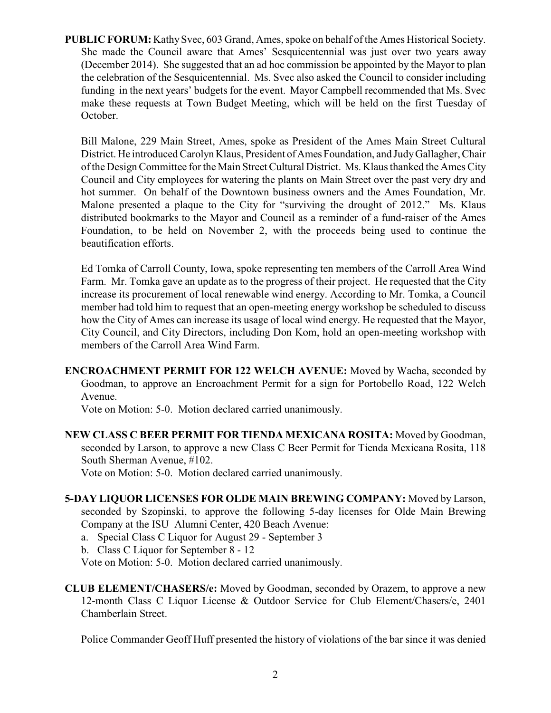**PUBLIC FORUM:** Kathy Svec, 603 Grand, Ames, spoke on behalf of the Ames Historical Society. She made the Council aware that Ames' Sesquicentennial was just over two years away (December 2014). She suggested that an ad hoc commission be appointed by the Mayor to plan the celebration of the Sesquicentennial. Ms. Svec also asked the Council to consider including funding in the next years' budgets for the event. Mayor Campbell recommended that Ms. Svec make these requests at Town Budget Meeting, which will be held on the first Tuesday of October.

Bill Malone, 229 Main Street, Ames, spoke as President of the Ames Main Street Cultural District. He introduced Carolyn Klaus, President of Ames Foundation, and Judy Gallagher, Chair of the Design Committee for the Main Street Cultural District. Ms. Klaus thanked the Ames City Council and City employees for watering the plants on Main Street over the past very dry and hot summer. On behalf of the Downtown business owners and the Ames Foundation, Mr. Malone presented a plaque to the City for "surviving the drought of 2012." Ms. Klaus distributed bookmarks to the Mayor and Council as a reminder of a fund-raiser of the Ames Foundation, to be held on November 2, with the proceeds being used to continue the beautification efforts.

Ed Tomka of Carroll County, Iowa, spoke representing ten members of the Carroll Area Wind Farm. Mr. Tomka gave an update as to the progress of their project. He requested that the City increase its procurement of local renewable wind energy. According to Mr. Tomka, a Council member had told him to request that an open-meeting energy workshop be scheduled to discuss how the City of Ames can increase its usage of local wind energy. He requested that the Mayor, City Council, and City Directors, including Don Kom, hold an open-meeting workshop with members of the Carroll Area Wind Farm.

**ENCROACHMENT PERMIT FOR 122 WELCH AVENUE:** Moved by Wacha, seconded by Goodman, to approve an Encroachment Permit for a sign for Portobello Road, 122 Welch Avenue.

Vote on Motion: 5-0. Motion declared carried unanimously.

**NEW CLASS C BEER PERMIT FOR TIENDA MEXICANA ROSITA:** Moved by Goodman, seconded by Larson, to approve a new Class C Beer Permit for Tienda Mexicana Rosita, 118 South Sherman Avenue, #102.

Vote on Motion: 5-0. Motion declared carried unanimously.

- **5-DAY LIQUOR LICENSES FOR OLDE MAIN BREWING COMPANY:** Moved by Larson, seconded by Szopinski, to approve the following 5-day licenses for Olde Main Brewing Company at the ISU Alumni Center, 420 Beach Avenue:
	- a. Special Class C Liquor for August 29 September 3

b. Class C Liquor for September 8 - 12

Vote on Motion: 5-0. Motion declared carried unanimously.

**CLUB ELEMENT/CHASERS/e:** Moved by Goodman, seconded by Orazem, to approve a new 12-month Class C Liquor License & Outdoor Service for Club Element/Chasers/e, 2401 Chamberlain Street.

Police Commander Geoff Huff presented the history of violations of the bar since it was denied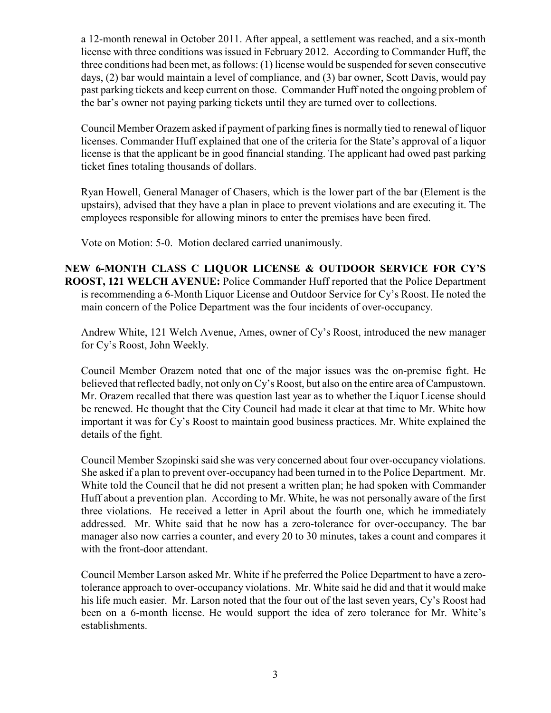a 12-month renewal in October 2011. After appeal, a settlement was reached, and a six-month license with three conditions was issued in February 2012. According to Commander Huff, the three conditions had been met, as follows: (1) license would be suspended for seven consecutive days, (2) bar would maintain a level of compliance, and (3) bar owner, Scott Davis, would pay past parking tickets and keep current on those. Commander Huff noted the ongoing problem of the bar's owner not paying parking tickets until they are turned over to collections.

Council Member Orazem asked if payment of parking fines is normally tied to renewal of liquor licenses. Commander Huff explained that one of the criteria for the State's approval of a liquor license is that the applicant be in good financial standing. The applicant had owed past parking ticket fines totaling thousands of dollars.

Ryan Howell, General Manager of Chasers, which is the lower part of the bar (Element is the upstairs), advised that they have a plan in place to prevent violations and are executing it. The employees responsible for allowing minors to enter the premises have been fired.

Vote on Motion: 5-0. Motion declared carried unanimously.

**NEW 6-MONTH CLASS C LIQUOR LICENSE & OUTDOOR SERVICE FOR CY'S ROOST, 121 WELCH AVENUE:** Police Commander Huff reported that the Police Department is recommending a 6-Month Liquor License and Outdoor Service for Cy's Roost. He noted the main concern of the Police Department was the four incidents of over-occupancy.

Andrew White, 121 Welch Avenue, Ames, owner of Cy's Roost, introduced the new manager for Cy's Roost, John Weekly.

Council Member Orazem noted that one of the major issues was the on-premise fight. He believed that reflected badly, not only on Cy's Roost, but also on the entire area of Campustown. Mr. Orazem recalled that there was question last year as to whether the Liquor License should be renewed. He thought that the City Council had made it clear at that time to Mr. White how important it was for Cy's Roost to maintain good business practices. Mr. White explained the details of the fight.

Council Member Szopinski said she was very concerned about four over-occupancy violations. She asked if a plan to prevent over-occupancy had been turned in to the Police Department. Mr. White told the Council that he did not present a written plan; he had spoken with Commander Huff about a prevention plan. According to Mr. White, he was not personally aware of the first three violations. He received a letter in April about the fourth one, which he immediately addressed. Mr. White said that he now has a zero-tolerance for over-occupancy. The bar manager also now carries a counter, and every 20 to 30 minutes, takes a count and compares it with the front-door attendant.

Council Member Larson asked Mr. White if he preferred the Police Department to have a zerotolerance approach to over-occupancy violations. Mr. White said he did and that it would make his life much easier. Mr. Larson noted that the four out of the last seven years, Cy's Roost had been on a 6-month license. He would support the idea of zero tolerance for Mr. White's establishments.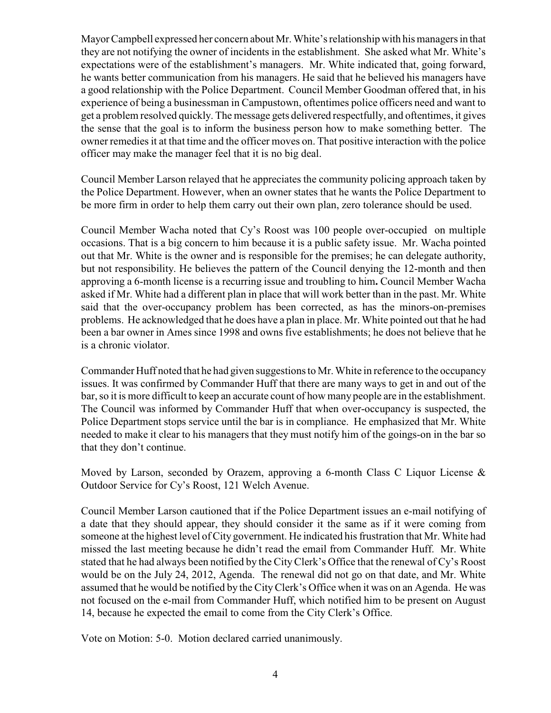Mayor Campbell expressed her concern about Mr. White's relationship with his managers in that they are not notifying the owner of incidents in the establishment. She asked what Mr. White's expectations were of the establishment's managers. Mr. White indicated that, going forward, he wants better communication from his managers. He said that he believed his managers have a good relationship with the Police Department. Council Member Goodman offered that, in his experience of being a businessman in Campustown, oftentimes police officers need and want to get a problem resolved quickly. The message gets delivered respectfully, and oftentimes, it gives the sense that the goal is to inform the business person how to make something better. The owner remedies it at that time and the officer moves on. That positive interaction with the police officer may make the manager feel that it is no big deal.

Council Member Larson relayed that he appreciates the community policing approach taken by the Police Department. However, when an owner states that he wants the Police Department to be more firm in order to help them carry out their own plan, zero tolerance should be used.

Council Member Wacha noted that Cy's Roost was 100 people over-occupied on multiple occasions. That is a big concern to him because it is a public safety issue. Mr. Wacha pointed out that Mr. White is the owner and is responsible for the premises; he can delegate authority, but not responsibility. He believes the pattern of the Council denying the 12-month and then approving a 6-month license is a recurring issue and troubling to him**.** Council Member Wacha asked if Mr. White had a different plan in place that will work better than in the past. Mr. White said that the over-occupancy problem has been corrected, as has the minors-on-premises problems. He acknowledged that he does have a plan in place. Mr. White pointed out that he had been a bar owner in Ames since 1998 and owns five establishments; he does not believe that he is a chronic violator.

Commander Huff noted that he had given suggestions to Mr. White in reference to the occupancy issues. It was confirmed by Commander Huff that there are many ways to get in and out of the bar, so it is more difficult to keep an accurate count of how many people are in the establishment. The Council was informed by Commander Huff that when over-occupancy is suspected, the Police Department stops service until the bar is in compliance. He emphasized that Mr. White needed to make it clear to his managers that they must notify him of the goings-on in the bar so that they don't continue.

Moved by Larson, seconded by Orazem, approving a 6-month Class C Liquor License  $\&$ Outdoor Service for Cy's Roost, 121 Welch Avenue.

Council Member Larson cautioned that if the Police Department issues an e-mail notifying of a date that they should appear, they should consider it the same as if it were coming from someone at the highest level of City government. He indicated his frustration that Mr. White had missed the last meeting because he didn't read the email from Commander Huff. Mr. White stated that he had always been notified by the CityClerk's Office that the renewal of Cy's Roost would be on the July 24, 2012, Agenda. The renewal did not go on that date, and Mr. White assumed that he would be notified by the City Clerk's Office when it was on an Agenda. He was not focused on the e-mail from Commander Huff, which notified him to be present on August 14, because he expected the email to come from the City Clerk's Office.

Vote on Motion: 5-0. Motion declared carried unanimously.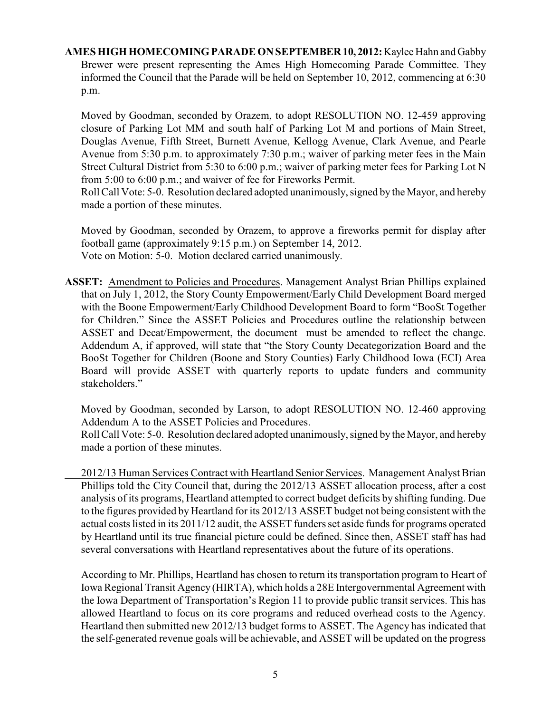# **AMES HIGH HOMECOMING PARADE ON SEPTEMBER 10, 2012:** Kaylee Hahn and Gabby Brewer were present representing the Ames High Homecoming Parade Committee. They informed the Council that the Parade will be held on September 10, 2012, commencing at 6:30 p.m.

Moved by Goodman, seconded by Orazem, to adopt RESOLUTION NO. 12-459 approving closure of Parking Lot MM and south half of Parking Lot M and portions of Main Street, Douglas Avenue, Fifth Street, Burnett Avenue, Kellogg Avenue, Clark Avenue, and Pearle Avenue from 5:30 p.m. to approximately 7:30 p.m.; waiver of parking meter fees in the Main Street Cultural District from 5:30 to 6:00 p.m.; waiver of parking meter fees for Parking Lot N from 5:00 to 6:00 p.m.; and waiver of fee for Fireworks Permit.

Roll Call Vote: 5-0. Resolution declared adopted unanimously, signed by the Mayor, and hereby made a portion of these minutes.

Moved by Goodman, seconded by Orazem, to approve a fireworks permit for display after football game (approximately 9:15 p.m.) on September 14, 2012. Vote on Motion: 5-0. Motion declared carried unanimously.

**ASSET:** Amendment to Policies and Procedures. Management Analyst Brian Phillips explained that on July 1, 2012, the Story County Empowerment/Early Child Development Board merged with the Boone Empowerment/Early Childhood Development Board to form "BooSt Together for Children." Since the ASSET Policies and Procedures outline the relationship between ASSET and Decat/Empowerment, the document must be amended to reflect the change. Addendum A, if approved, will state that "the Story County Decategorization Board and the BooSt Together for Children (Boone and Story Counties) Early Childhood Iowa (ECI) Area Board will provide ASSET with quarterly reports to update funders and community stakeholders."

Moved by Goodman, seconded by Larson, to adopt RESOLUTION NO. 12-460 approving Addendum A to the ASSET Policies and Procedures.

Roll Call Vote: 5-0. Resolution declared adopted unanimously, signed by the Mayor, and hereby made a portion of these minutes.

2012/13 Human Services Contract with Heartland Senior Services. Management Analyst Brian Phillips told the City Council that, during the 2012/13 ASSET allocation process, after a cost analysis of its programs, Heartland attempted to correct budget deficits by shifting funding. Due to the figures provided by Heartland for its 2012/13 ASSET budget not being consistent with the actual costs listed in its 2011/12 audit, the ASSET funders set aside funds for programs operated by Heartland until its true financial picture could be defined. Since then, ASSET staff has had several conversations with Heartland representatives about the future of its operations.

According to Mr. Phillips, Heartland has chosen to return its transportation program to Heart of Iowa Regional Transit Agency (HIRTA), which holds a 28E Intergovernmental Agreement with the Iowa Department of Transportation's Region 11 to provide public transit services. This has allowed Heartland to focus on its core programs and reduced overhead costs to the Agency. Heartland then submitted new 2012/13 budget forms to ASSET. The Agency has indicated that the self-generated revenue goals will be achievable, and ASSET will be updated on the progress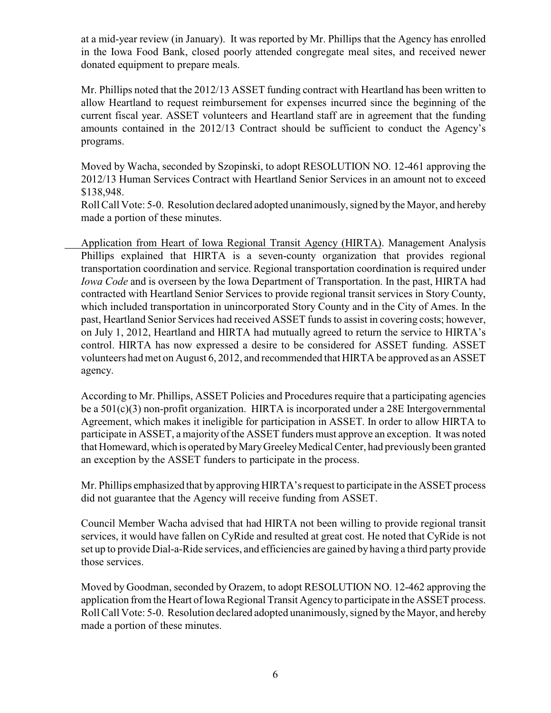at a mid-year review (in January). It was reported by Mr. Phillips that the Agency has enrolled in the Iowa Food Bank, closed poorly attended congregate meal sites, and received newer donated equipment to prepare meals.

Mr. Phillips noted that the 2012/13 ASSET funding contract with Heartland has been written to allow Heartland to request reimbursement for expenses incurred since the beginning of the current fiscal year. ASSET volunteers and Heartland staff are in agreement that the funding amounts contained in the 2012/13 Contract should be sufficient to conduct the Agency's programs.

Moved by Wacha, seconded by Szopinski, to adopt RESOLUTION NO. 12-461 approving the 2012/13 Human Services Contract with Heartland Senior Services in an amount not to exceed \$138,948.

Roll Call Vote: 5-0. Resolution declared adopted unanimously, signed by the Mayor, and hereby made a portion of these minutes.

Application from Heart of Iowa Regional Transit Agency (HIRTA). Management Analysis Phillips explained that HIRTA is a seven-county organization that provides regional transportation coordination and service. Regional transportation coordination is required under *Iowa Code* and is overseen by the Iowa Department of Transportation. In the past, HIRTA had contracted with Heartland Senior Services to provide regional transit services in Story County, which included transportation in unincorporated Story County and in the City of Ames. In the past, Heartland Senior Services had received ASSET funds to assist in covering costs; however, on July 1, 2012, Heartland and HIRTA had mutually agreed to return the service to HIRTA's control. HIRTA has now expressed a desire to be considered for ASSET funding. ASSET volunteers had met on August 6, 2012, and recommended that HIRTA be approved as an ASSET agency.

According to Mr. Phillips, ASSET Policies and Procedures require that a participating agencies be a  $501(c)(3)$  non-profit organization. HIRTA is incorporated under a 28E Intergovernmental Agreement, which makes it ineligible for participation in ASSET. In order to allow HIRTA to participate in ASSET, a majority of the ASSET funders must approve an exception. It was noted that Homeward, which is operated by Mary Greeley Medical Center, had previously been granted an exception by the ASSET funders to participate in the process.

Mr. Phillips emphasized that by approving HIRTA's request to participate in the ASSET process did not guarantee that the Agency will receive funding from ASSET.

Council Member Wacha advised that had HIRTA not been willing to provide regional transit services, it would have fallen on CyRide and resulted at great cost. He noted that CyRide is not set up to provide Dial-a-Ride services, and efficiencies are gained by having a third party provide those services.

Moved by Goodman, seconded by Orazem, to adopt RESOLUTION NO. 12-462 approving the application from the Heart of Iowa Regional Transit Agency to participate in the ASSET process. Roll Call Vote: 5-0. Resolution declared adopted unanimously, signed by the Mayor, and hereby made a portion of these minutes.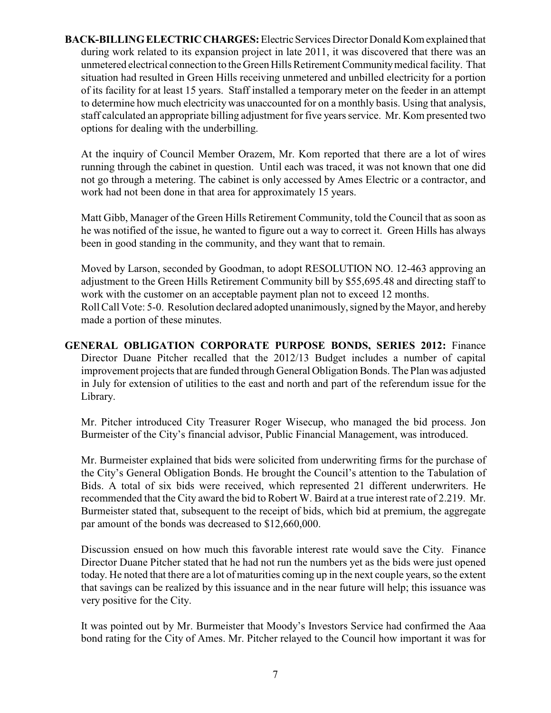**BACK-BILLING ELECTRIC CHARGES:** Electric Services Director Donald Kom explained that during work related to its expansion project in late 2011, it was discovered that there was an unmetered electrical connection to the Green Hills Retirement Community medical facility. That situation had resulted in Green Hills receiving unmetered and unbilled electricity for a portion of its facility for at least 15 years. Staff installed a temporary meter on the feeder in an attempt to determine how much electricity was unaccounted for on a monthly basis. Using that analysis, staff calculated an appropriate billing adjustment for five years service. Mr. Kom presented two options for dealing with the underbilling.

At the inquiry of Council Member Orazem, Mr. Kom reported that there are a lot of wires running through the cabinet in question. Until each was traced, it was not known that one did not go through a metering. The cabinet is only accessed by Ames Electric or a contractor, and work had not been done in that area for approximately 15 years.

Matt Gibb, Manager of the Green Hills Retirement Community, told the Council that as soon as he was notified of the issue, he wanted to figure out a way to correct it. Green Hills has always been in good standing in the community, and they want that to remain.

Moved by Larson, seconded by Goodman, to adopt RESOLUTION NO. 12-463 approving an adjustment to the Green Hills Retirement Community bill by \$55,695.48 and directing staff to work with the customer on an acceptable payment plan not to exceed 12 months. Roll Call Vote: 5-0. Resolution declared adopted unanimously, signed by the Mayor, and hereby made a portion of these minutes.

**GENERAL OBLIGATION CORPORATE PURPOSE BONDS, SERIES 2012:** Finance Director Duane Pitcher recalled that the 2012/13 Budget includes a number of capital improvement projects that are funded through General Obligation Bonds. The Plan was adjusted in July for extension of utilities to the east and north and part of the referendum issue for the Library.

Mr. Pitcher introduced City Treasurer Roger Wisecup, who managed the bid process. Jon Burmeister of the City's financial advisor, Public Financial Management, was introduced.

Mr. Burmeister explained that bids were solicited from underwriting firms for the purchase of the City's General Obligation Bonds. He brought the Council's attention to the Tabulation of Bids. A total of six bids were received, which represented 21 different underwriters. He recommended that the City award the bid to Robert W. Baird at a true interest rate of 2.219. Mr. Burmeister stated that, subsequent to the receipt of bids, which bid at premium, the aggregate par amount of the bonds was decreased to \$12,660,000.

Discussion ensued on how much this favorable interest rate would save the City. Finance Director Duane Pitcher stated that he had not run the numbers yet as the bids were just opened today. He noted that there are a lot of maturities coming up in the next couple years, so the extent that savings can be realized by this issuance and in the near future will help; this issuance was very positive for the City.

It was pointed out by Mr. Burmeister that Moody's Investors Service had confirmed the Aaa bond rating for the City of Ames. Mr. Pitcher relayed to the Council how important it was for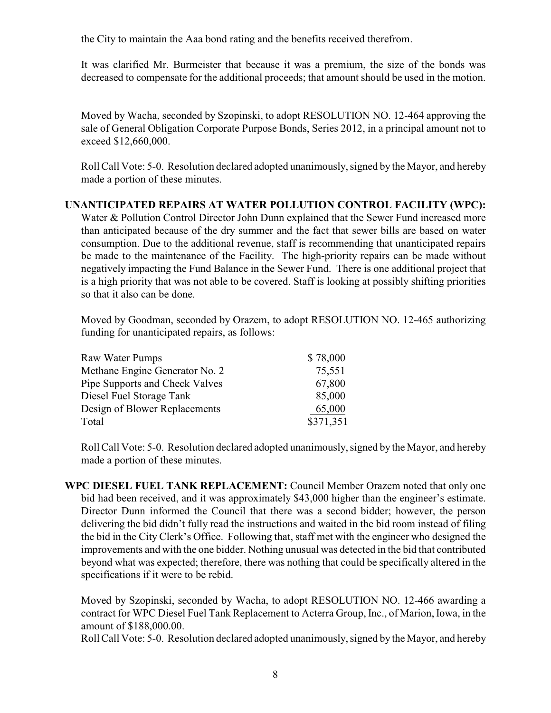the City to maintain the Aaa bond rating and the benefits received therefrom.

It was clarified Mr. Burmeister that because it was a premium, the size of the bonds was decreased to compensate for the additional proceeds; that amount should be used in the motion.

Moved by Wacha, seconded by Szopinski, to adopt RESOLUTION NO. 12-464 approving the sale of General Obligation Corporate Purpose Bonds, Series 2012, in a principal amount not to exceed \$12,660,000.

Roll Call Vote: 5-0. Resolution declared adopted unanimously, signed by the Mayor, and hereby made a portion of these minutes.

# **UNANTICIPATED REPAIRS AT WATER POLLUTION CONTROL FACILITY (WPC):**

Water & Pollution Control Director John Dunn explained that the Sewer Fund increased more than anticipated because of the dry summer and the fact that sewer bills are based on water consumption. Due to the additional revenue, staff is recommending that unanticipated repairs be made to the maintenance of the Facility. The high-priority repairs can be made without negatively impacting the Fund Balance in the Sewer Fund. There is one additional project that is a high priority that was not able to be covered. Staff is looking at possibly shifting priorities so that it also can be done.

Moved by Goodman, seconded by Orazem, to adopt RESOLUTION NO. 12-465 authorizing funding for unanticipated repairs, as follows:

| Raw Water Pumps                | \$78,000  |
|--------------------------------|-----------|
| Methane Engine Generator No. 2 | 75,551    |
| Pipe Supports and Check Valves | 67,800    |
| Diesel Fuel Storage Tank       | 85,000    |
| Design of Blower Replacements  | 65,000    |
| Total                          | \$371,351 |

Roll Call Vote: 5-0. Resolution declared adopted unanimously, signed by the Mayor, and hereby made a portion of these minutes.

**WPC DIESEL FUEL TANK REPLACEMENT:** Council Member Orazem noted that only one bid had been received, and it was approximately \$43,000 higher than the engineer's estimate. Director Dunn informed the Council that there was a second bidder; however, the person delivering the bid didn't fully read the instructions and waited in the bid room instead of filing the bid in the City Clerk's Office. Following that, staff met with the engineer who designed the improvements and with the one bidder. Nothing unusual was detected in the bid that contributed beyond what was expected; therefore, there was nothing that could be specifically altered in the specifications if it were to be rebid.

Moved by Szopinski, seconded by Wacha, to adopt RESOLUTION NO. 12-466 awarding a contract for WPC Diesel Fuel Tank Replacement to Acterra Group, Inc., of Marion, Iowa, in the amount of \$188,000.00.

Roll Call Vote: 5-0. Resolution declared adopted unanimously, signed by the Mayor, and hereby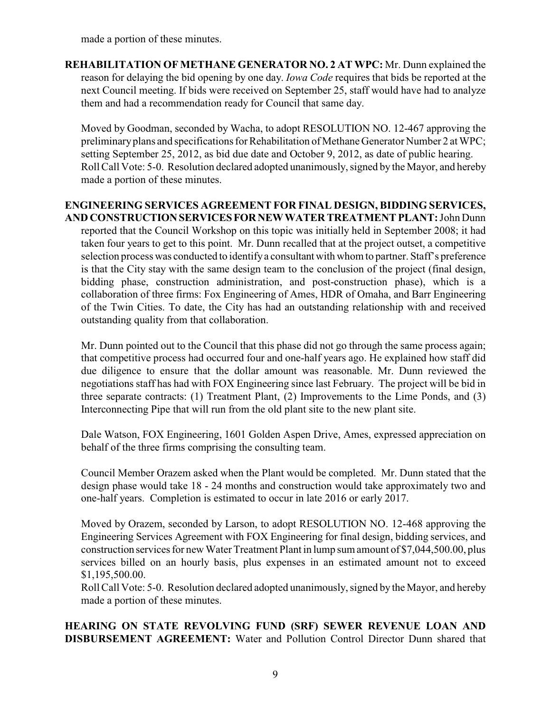made a portion of these minutes.

**REHABILITATION OF METHANE GENERATOR NO. 2 AT WPC:** Mr. Dunn explained the reason for delaying the bid opening by one day. *Iowa Code* requires that bids be reported at the next Council meeting. If bids were received on September 25, staff would have had to analyze them and had a recommendation ready for Council that same day.

Moved by Goodman, seconded by Wacha, to adopt RESOLUTION NO. 12-467 approving the preliminary plans and specifications for Rehabilitation of Methane Generator Number 2 at WPC; setting September 25, 2012, as bid due date and October 9, 2012, as date of public hearing. Roll Call Vote: 5-0. Resolution declared adopted unanimously, signed by the Mayor, and hereby made a portion of these minutes.

## **ENGINEERING SERVICES AGREEMENT FOR FINAL DESIGN, BIDDING SERVICES, AND CONSTRUCTION SERVICES FOR NEW WATER TREATMENT PLANT:** John Dunn

reported that the Council Workshop on this topic was initially held in September 2008; it had taken four years to get to this point. Mr. Dunn recalled that at the project outset, a competitive selection process was conducted to identify a consultant with whom to partner. Staff's preference is that the City stay with the same design team to the conclusion of the project (final design, bidding phase, construction administration, and post-construction phase), which is a collaboration of three firms: Fox Engineering of Ames, HDR of Omaha, and Barr Engineering of the Twin Cities. To date, the City has had an outstanding relationship with and received outstanding quality from that collaboration.

Mr. Dunn pointed out to the Council that this phase did not go through the same process again; that competitive process had occurred four and one-half years ago. He explained how staff did due diligence to ensure that the dollar amount was reasonable. Mr. Dunn reviewed the negotiations staff has had with FOX Engineering since last February. The project will be bid in three separate contracts: (1) Treatment Plant, (2) Improvements to the Lime Ponds, and (3) Interconnecting Pipe that will run from the old plant site to the new plant site.

Dale Watson, FOX Engineering, 1601 Golden Aspen Drive, Ames, expressed appreciation on behalf of the three firms comprising the consulting team.

Council Member Orazem asked when the Plant would be completed. Mr. Dunn stated that the design phase would take 18 - 24 months and construction would take approximately two and one-half years. Completion is estimated to occur in late 2016 or early 2017.

Moved by Orazem, seconded by Larson, to adopt RESOLUTION NO. 12-468 approving the Engineering Services Agreement with FOX Engineering for final design, bidding services, and construction services for new Water Treatment Plant in lump sum amount of \$7,044,500.00, plus services billed on an hourly basis, plus expenses in an estimated amount not to exceed \$1,195,500.00.

Roll Call Vote: 5-0. Resolution declared adopted unanimously, signed by the Mayor, and hereby made a portion of these minutes.

**HEARING ON STATE REVOLVING FUND (SRF) SEWER REVENUE LOAN AND DISBURSEMENT AGREEMENT:** Water and Pollution Control Director Dunn shared that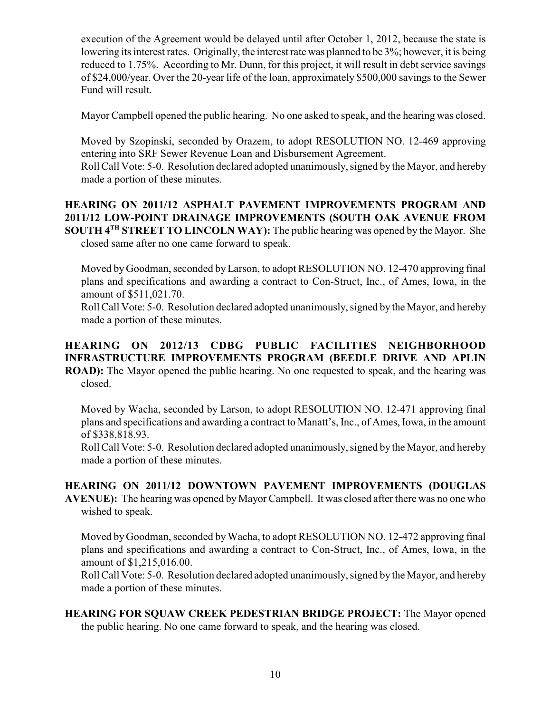execution of the Agreement would be delayed until after October 1, 2012, because the state is lowering its interest rates. Originally, the interest rate was planned to be 3%; however, it is being reduced to 1.75%. According to Mr. Dunn, for this project, it will result in debt service savings of \$24,000/year. Over the 20-year life of the loan, approximately \$500,000 savings to the Sewer Fund will result.

Mayor Campbell opened the public hearing. No one asked to speak, and the hearing was closed.

Moved by Szopinski, seconded by Orazem, to adopt RESOLUTION NO. 12-469 approving entering into SRF Sewer Revenue Loan and Disbursement Agreement.

Roll Call Vote: 5-0. Resolution declared adopted unanimously, signed by the Mayor, and hereby made a portion of these minutes.

**HEARING ON 2011/12 ASPHALT PAVEMENT IMPROVEMENTS PROGRAM AND 2011/12 LOW-POINT DRAINAGE IMPROVEMENTS (SOUTH OAK AVENUE FROM SOUTH 4<sup>TH</sup> STREET TO LINCOLN WAY):** The public hearing was opened by the Mayor. She closed same after no one came forward to speak.

Moved by Goodman, seconded byLarson, to adopt RESOLUTION NO. 12-470 approving final plans and specifications and awarding a contract to Con-Struct, Inc., of Ames, Iowa, in the amount of \$511,021.70.

Roll Call Vote: 5-0. Resolution declared adopted unanimously, signed by the Mayor, and hereby made a portion of these minutes.

**HEARING ON 2012/13 CDBG PUBLIC FACILITIES NEIGHBORHOOD INFRASTRUCTURE IMPROVEMENTS PROGRAM (BEEDLE DRIVE AND APLIN ROAD):** The Mayor opened the public hearing. No one requested to speak, and the hearing was closed.

Moved by Wacha, seconded by Larson, to adopt RESOLUTION NO. 12-471 approving final plans and specifications and awarding a contract to Manatt's, Inc., of Ames, Iowa, in the amount of \$338,818.93.

Roll Call Vote: 5-0. Resolution declared adopted unanimously, signed by the Mayor, and hereby made a portion of these minutes.

**HEARING ON 2011/12 DOWNTOWN PAVEMENT IMPROVEMENTS (DOUGLAS AVENUE):** The hearing was opened by Mayor Campbell. It was closed after there was no one who wished to speak.

Moved by Goodman, seconded by Wacha, to adopt RESOLUTION NO. 12-472 approving final plans and specifications and awarding a contract to Con-Struct, Inc., of Ames, Iowa, in the amount of \$1,215,016.00.

Roll Call Vote: 5-0. Resolution declared adopted unanimously, signed by the Mayor, and hereby made a portion of these minutes.

**HEARING FOR SQUAW CREEK PEDESTRIAN BRIDGE PROJECT:** The Mayor opened the public hearing. No one came forward to speak, and the hearing was closed.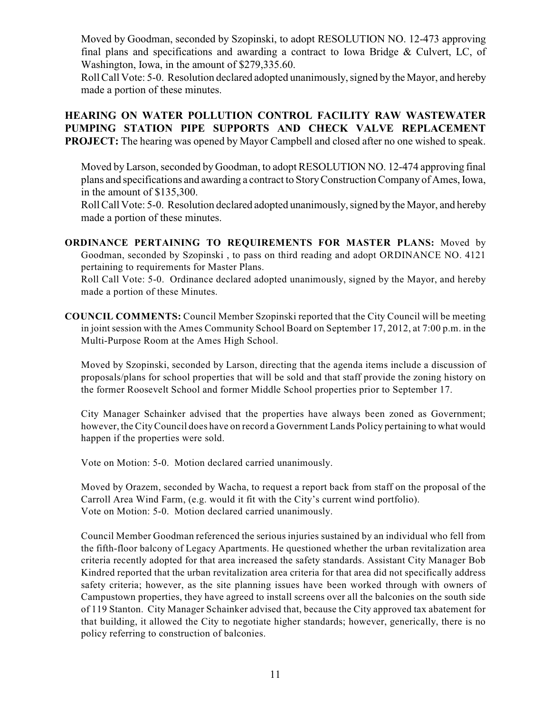Moved by Goodman, seconded by Szopinski, to adopt RESOLUTION NO. 12-473 approving final plans and specifications and awarding a contract to Iowa Bridge & Culvert, LC, of Washington, Iowa, in the amount of \$279,335.60.

Roll Call Vote: 5-0. Resolution declared adopted unanimously, signed by the Mayor, and hereby made a portion of these minutes.

**HEARING ON WATER POLLUTION CONTROL FACILITY RAW WASTEWATER PUMPING STATION PIPE SUPPORTS AND CHECK VALVE REPLACEMENT PROJECT:** The hearing was opened by Mayor Campbell and closed after no one wished to speak.

Moved by Larson, seconded by Goodman, to adopt RESOLUTION NO. 12-474 approving final plans and specifications and awarding a contract to Story Construction Company of Ames, Iowa, in the amount of \$135,300.

Roll Call Vote: 5-0. Resolution declared adopted unanimously, signed by the Mayor, and hereby made a portion of these minutes.

**ORDINANCE PERTAINING TO REQUIREMENTS FOR MASTER PLANS:** Moved by Goodman, seconded by Szopinski , to pass on third reading and adopt ORDINANCE NO. 4121 pertaining to requirements for Master Plans.

Roll Call Vote: 5-0. Ordinance declared adopted unanimously, signed by the Mayor, and hereby made a portion of these Minutes.

**COUNCIL COMMENTS:** Council Member Szopinski reported that the City Council will be meeting in joint session with the Ames Community School Board on September 17, 2012, at 7:00 p.m. in the Multi-Purpose Room at the Ames High School.

Moved by Szopinski, seconded by Larson, directing that the agenda items include a discussion of proposals/plans for school properties that will be sold and that staff provide the zoning history on the former Roosevelt School and former Middle School properties prior to September 17.

City Manager Schainker advised that the properties have always been zoned as Government; however, the CityCouncil does have on record a Government Lands Policy pertaining to what would happen if the properties were sold.

Vote on Motion: 5-0. Motion declared carried unanimously.

Moved by Orazem, seconded by Wacha, to request a report back from staff on the proposal of the Carroll Area Wind Farm, (e.g. would it fit with the City's current wind portfolio). Vote on Motion: 5-0. Motion declared carried unanimously.

Council Member Goodman referenced the serious injuries sustained by an individual who fell from the fifth-floor balcony of Legacy Apartments. He questioned whether the urban revitalization area criteria recently adopted for that area increased the safety standards. Assistant City Manager Bob Kindred reported that the urban revitalization area criteria for that area did not specifically address safety criteria; however, as the site planning issues have been worked through with owners of Campustown properties, they have agreed to install screens over all the balconies on the south side of 119 Stanton. City Manager Schainker advised that, because the City approved tax abatement for that building, it allowed the City to negotiate higher standards; however, generically, there is no policy referring to construction of balconies.